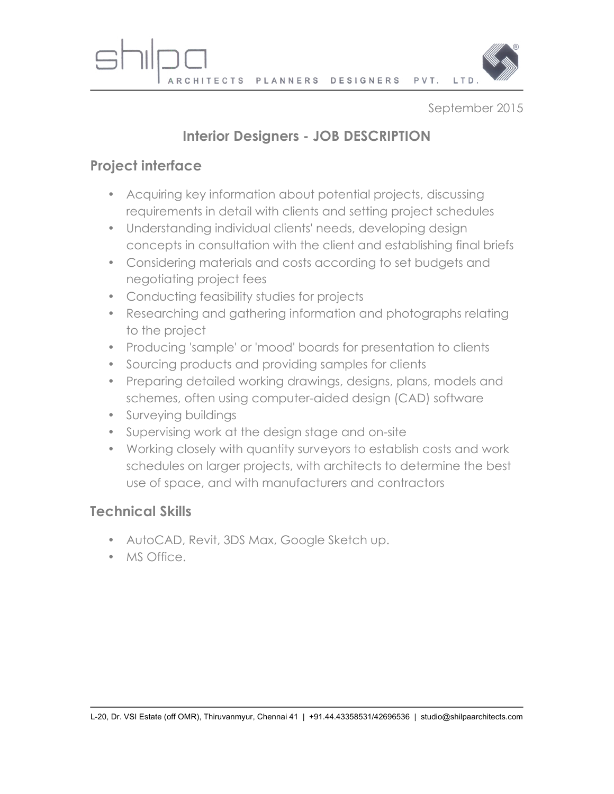

September 2015

## **Interior Designers - JOB DESCRIPTION**

## **Project interface**

- Acquiring key information about potential projects, discussing requirements in detail with clients and setting project schedules
- Understanding individual clients' needs, developing design concepts in consultation with the client and establishing final briefs
- Considering materials and costs according to set budgets and negotiating project fees
- Conducting feasibility studies for projects
- Researching and gathering information and photographs relating to the project
- Producing 'sample' or 'mood' boards for presentation to clients
- Sourcing products and providing samples for clients
- Preparing detailed working drawings, designs, plans, models and schemes, often using computer-aided design (CAD) software
- Surveying buildings
- Supervising work at the design stage and on-site
- Working closely with quantity surveyors to establish costs and work schedules on larger projects, with architects to determine the best use of space, and with manufacturers and contractors

## **Technical Skills**

- AutoCAD, Revit, 3DS Max, Google Sketch up.
- MS Office.